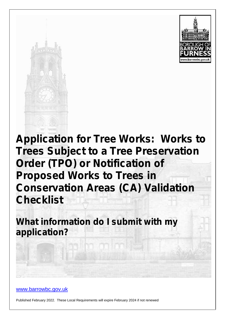



**Application for Tree Works: Works to Trees Subject to a Tree Preservation Order (TPO) or Notification of Proposed Works to Trees in Conservation Areas (CA) Validation Checklist**

**What information do I submit with my application?**

www.barrowbc.gov.uk

Published February 2022. These Local Requirements will expire February 2024 if not renewed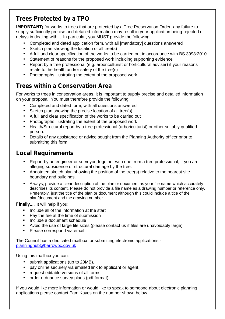## **Trees Protected by a TPO**

**IMPORTANT**; for works to trees that are protected by a Tree Preservation Order, any failure to supply sufficiently precise and detailed information may result in your application being rejected or delays in dealing with it. In particular, you MUST provide the following:

- Completed and dated application form, with all [mandatory] questions answered
- Sketch plan showing the location of all tree(s)
- A full and clear specification of the works to be carried out in accordance with BS 3998:2010
- Statement of reasons for the proposed work including supporting evidence
- Report by a tree professional (e.g. arboriculturist or horticultural adviser) if your reasons relate to the health and/or safety of the tree(s)
- Photographs illustrating the extent of the proposed work.

## **Trees within a Conservation Area**

For works to trees in conservation areas, it is important to supply precise and detailed information on your proposal. You must therefore provide the following:

- Completed and dated form, with all questions answered
- Sketch plan showing the precise location of all tree(s)
- A full and clear specification of the works to be carried out
- Photographs illustrating the extent of the proposed work
- Health/Structural report by a tree professional (arboriculturist) or other suitably qualified person.
- Details of any assistance or advice sought from the Planning Authority officer prior to submitting this form.

## **Local Requirements**

- Report by an engineer or surveyor, together with one from a tree professional, if you are alleging subsidence or structural damage by the tree.
- Annotated sketch plan showing the position of the tree(s) relative to the nearest site boundary and buildings.
- Always, provide a clear description of the plan or document as your file name which accurately describes its content. Please do not provide a file name as a drawing number or reference only. Preferably, just the title of the plan or document although this could include a title of the plan/document and the drawing number.

**Finally….** It will help if you;

- $\blacksquare$  Include all of the information at the start
- Pay the fee at the time of submission
- Include a document schedule
- Avoid the use of large file sizes (please contact us if files are unavoidably large)
- Please correspond via email

The Council has a dedicated mailbox for submitting electronic applications planninghub@barrowbc.gov.uk

Using this mailbox you can:

- submit applications (up to 20MB).
- pay online securely via emailed link to applicant or agent.
- request editable versions of all forms.
- order ordnance survey plans (pdf format).

If you would like more information or would like to speak to someone about electronic planning applications please contact Pam Kayes on the number shown below.